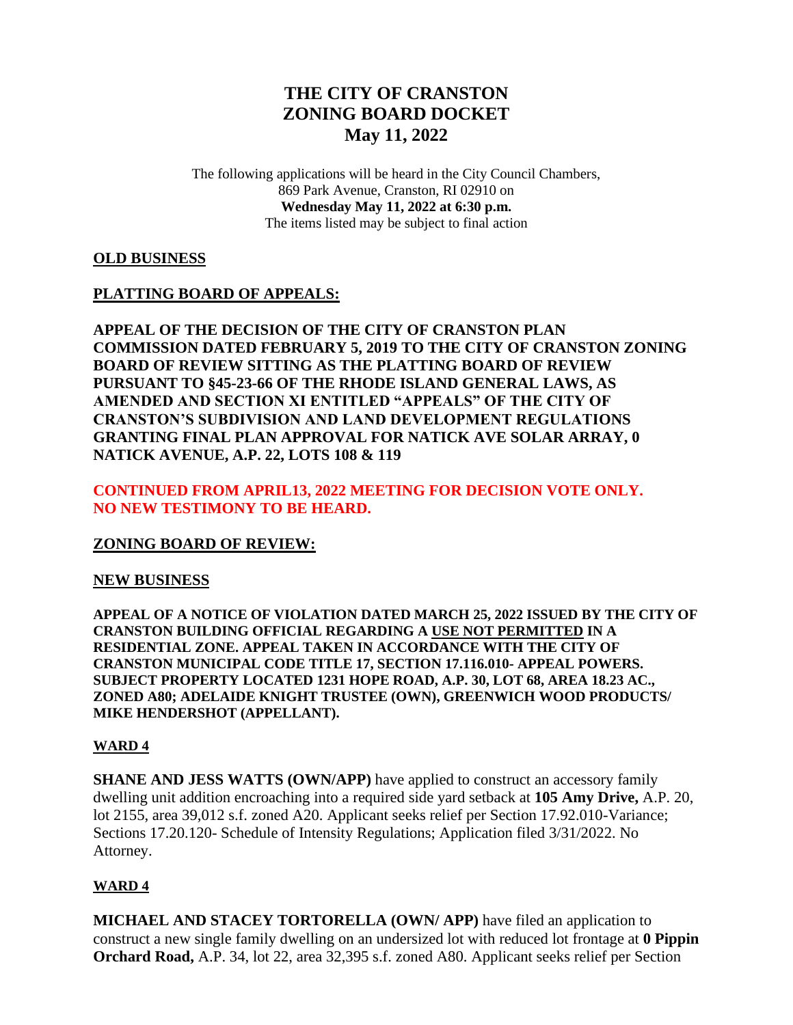# **THE CITY OF CRANSTON ZONING BOARD DOCKET May 11, 2022**

The following applications will be heard in the City Council Chambers, 869 Park Avenue, Cranston, RI 02910 on **Wednesday May 11, 2022 at 6:30 p.m.** The items listed may be subject to final action

## **OLD BUSINESS**

## **PLATTING BOARD OF APPEALS:**

**APPEAL OF THE DECISION OF THE CITY OF CRANSTON PLAN COMMISSION DATED FEBRUARY 5, 2019 TO THE CITY OF CRANSTON ZONING BOARD OF REVIEW SITTING AS THE PLATTING BOARD OF REVIEW PURSUANT TO §45-23-66 OF THE RHODE ISLAND GENERAL LAWS, AS AMENDED AND SECTION XI ENTITLED "APPEALS" OF THE CITY OF CRANSTON'S SUBDIVISION AND LAND DEVELOPMENT REGULATIONS GRANTING FINAL PLAN APPROVAL FOR NATICK AVE SOLAR ARRAY, 0 NATICK AVENUE, A.P. 22, LOTS 108 & 119**

## **CONTINUED FROM APRIL13, 2022 MEETING FOR DECISION VOTE ONLY. NO NEW TESTIMONY TO BE HEARD.**

## **ZONING BOARD OF REVIEW:**

#### **NEW BUSINESS**

**APPEAL OF A NOTICE OF VIOLATION DATED MARCH 25, 2022 ISSUED BY THE CITY OF CRANSTON BUILDING OFFICIAL REGARDING A USE NOT PERMITTED IN A RESIDENTIAL ZONE. APPEAL TAKEN IN ACCORDANCE WITH THE CITY OF CRANSTON MUNICIPAL CODE TITLE 17, SECTION 17.116.010- APPEAL POWERS. SUBJECT PROPERTY LOCATED 1231 HOPE ROAD, A.P. 30, LOT 68, AREA 18.23 AC., ZONED A80; ADELAIDE KNIGHT TRUSTEE (OWN), GREENWICH WOOD PRODUCTS/ MIKE HENDERSHOT (APPELLANT).**

#### **WARD 4**

**SHANE AND JESS WATTS (OWN/APP)** have applied to construct an accessory family dwelling unit addition encroaching into a required side yard setback at **105 Amy Drive,** A.P. 20, lot 2155, area 39,012 s.f. zoned A20. Applicant seeks relief per Section 17.92.010-Variance; Sections 17.20.120- Schedule of Intensity Regulations; Application filed 3/31/2022. No Attorney.

#### **WARD 4**

**MICHAEL AND STACEY TORTORELLA (OWN/ APP)** have filed an application to construct a new single family dwelling on an undersized lot with reduced lot frontage at **0 Pippin Orchard Road,** A.P. 34, lot 22, area 32,395 s.f. zoned A80. Applicant seeks relief per Section